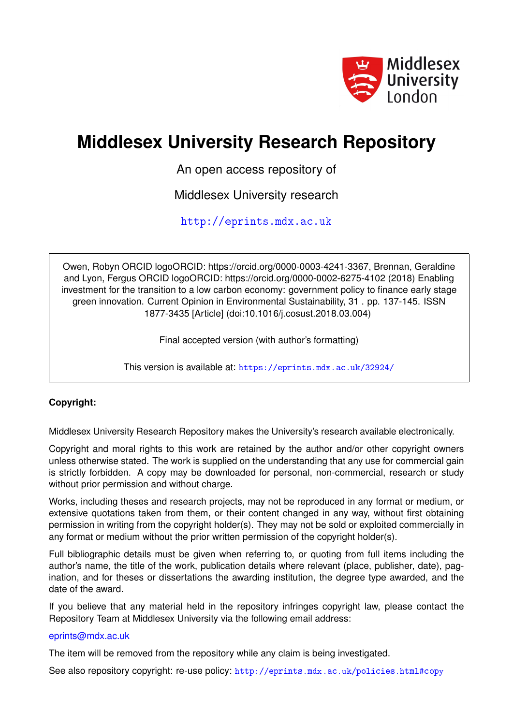

# **Middlesex University Research Repository**

An open access repository of

Middlesex University research

<http://eprints.mdx.ac.uk>

Owen, Robyn ORCID logoORCID: https://orcid.org/0000-0003-4241-3367, Brennan, Geraldine and Lyon, Fergus ORCID logoORCID: https://orcid.org/0000-0002-6275-4102 (2018) Enabling investment for the transition to a low carbon economy: government policy to finance early stage green innovation. Current Opinion in Environmental Sustainability, 31 . pp. 137-145. ISSN 1877-3435 [Article] (doi:10.1016/j.cosust.2018.03.004)

Final accepted version (with author's formatting)

This version is available at: <https://eprints.mdx.ac.uk/32924/>

## **Copyright:**

Middlesex University Research Repository makes the University's research available electronically.

Copyright and moral rights to this work are retained by the author and/or other copyright owners unless otherwise stated. The work is supplied on the understanding that any use for commercial gain is strictly forbidden. A copy may be downloaded for personal, non-commercial, research or study without prior permission and without charge.

Works, including theses and research projects, may not be reproduced in any format or medium, or extensive quotations taken from them, or their content changed in any way, without first obtaining permission in writing from the copyright holder(s). They may not be sold or exploited commercially in any format or medium without the prior written permission of the copyright holder(s).

Full bibliographic details must be given when referring to, or quoting from full items including the author's name, the title of the work, publication details where relevant (place, publisher, date), pagination, and for theses or dissertations the awarding institution, the degree type awarded, and the date of the award.

If you believe that any material held in the repository infringes copyright law, please contact the Repository Team at Middlesex University via the following email address:

## [eprints@mdx.ac.uk](mailto:eprints@mdx.ac.uk)

The item will be removed from the repository while any claim is being investigated.

See also repository copyright: re-use policy: <http://eprints.mdx.ac.uk/policies.html#copy>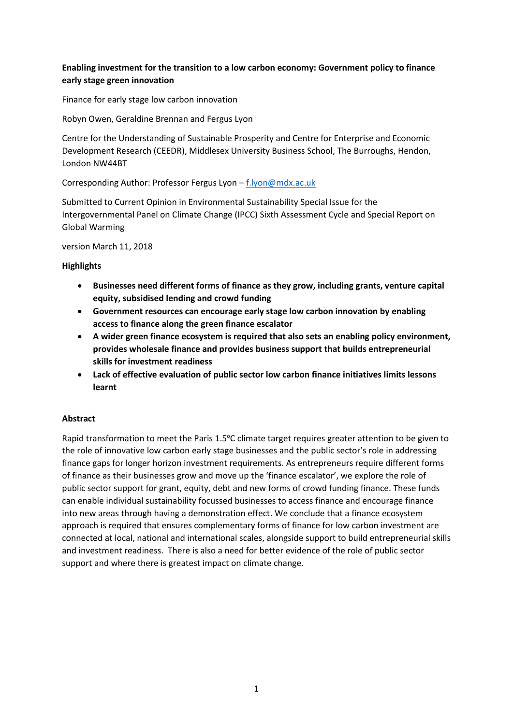## **Enabling investment for the transition to a low carbon economy: Government policy to finance early stage green innovation**

Finance for early stage low carbon innovation

Robyn Owen, Geraldine Brennan and Fergus Lyon

Centre for the Understanding of Sustainable Prosperity and Centre for Enterprise and Economic Development Research (CEEDR), Middlesex University Business School, The Burroughs, Hendon, London NW44BT

Corresponding Author: Professor Fergus Lyon – [f.lyon@mdx.ac.uk](mailto:f.lyon@mdx.ac.uk)

Submitted to Current Opinion in Environmental Sustainability Special Issue for the Intergovernmental Panel on Climate Change (IPCC) Sixth Assessment Cycle and Special Report on Global Warming

version March 11, 2018

#### **Highlights**

- **Businesses need different forms of finance as they grow, including grants, venture capital equity, subsidised lending and crowd funding**
- **Government resources can encourage early stage low carbon innovation by enabling access to finance along the green finance escalator**
- **A wider green finance ecosystem is required that also sets an enabling policy environment, provides wholesale finance and provides business support that builds entrepreneurial skills for investment readiness**
- **Lack of effective evaluation of public sector low carbon finance initiatives limits lessons learnt**

## **Abstract**

Rapid transformation to meet the Paris 1.5°C climate target requires greater attention to be given to the role of innovative low carbon early stage businesses and the public sector's role in addressing finance gaps for longer horizon investment requirements. As entrepreneurs require different forms of finance as their businesses grow and move up the 'finance escalator', we explore the role of public sector support for grant, equity, debt and new forms of crowd funding finance. These funds can enable individual sustainability focussed businesses to access finance and encourage finance into new areas through having a demonstration effect. We conclude that a finance ecosystem approach is required that ensures complementary forms of finance for low carbon investment are connected at local, national and international scales, alongside support to build entrepreneurial skills and investment readiness. There is also a need for better evidence of the role of public sector support and where there is greatest impact on climate change.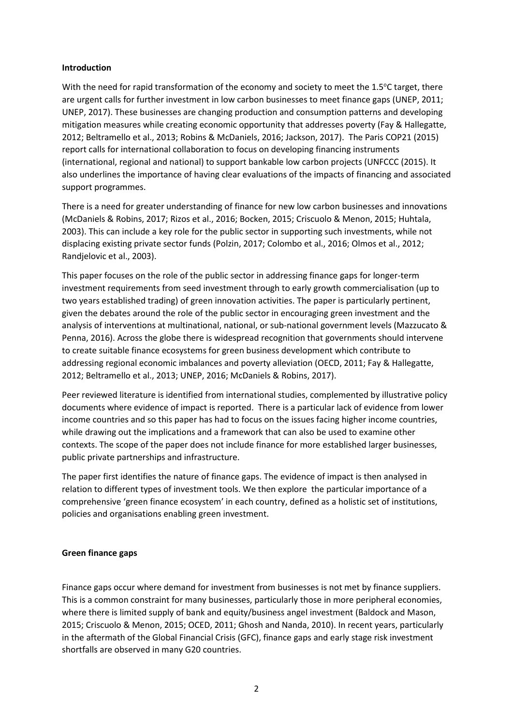#### **Introduction**

With the need for rapid transformation of the economy and society to meet the 1.5°C target, there are urgent calls for further investment in low carbon businesses to meet finance gaps (UNEP, 2011; UNEP, 2017). These businesses are changing production and consumption patterns and developing mitigation measures while creating economic opportunity that addresses poverty (Fay & Hallegatte, 2012; Beltramello et al., 2013; Robins & McDaniels, 2016; Jackson, 2017). The Paris COP21 (2015) report calls for international collaboration to focus on developing financing instruments (international, regional and national) to support bankable low carbon projects (UNFCCC (2015). It also underlines the importance of having clear evaluations of the impacts of financing and associated support programmes.

There is a need for greater understanding of finance for new low carbon businesses and innovations (McDaniels & Robins, 2017; Rizos et al., 2016; Bocken, 2015; Criscuolo & Menon, 2015; Huhtala, 2003). This can include a key role for the public sector in supporting such investments, while not displacing existing private sector funds (Polzin, 2017; Colombo et al., 2016; Olmos et al., 2012; Randjelovic et al., 2003).

This paper focuses on the role of the public sector in addressing finance gaps for longer-term investment requirements from seed investment through to early growth commercialisation (up to two years established trading) of green innovation activities. The paper is particularly pertinent, given the debates around the role of the public sector in encouraging green investment and the analysis of interventions at multinational, national, or sub-national government levels (Mazzucato & Penna, 2016). Across the globe there is widespread recognition that governments should intervene to create suitable finance ecosystems for green business development which contribute to addressing regional economic imbalances and poverty alleviation (OECD, 2011; Fay & Hallegatte, 2012; Beltramello et al., 2013; UNEP, 2016; McDaniels & Robins, 2017).

Peer reviewed literature is identified from international studies, complemented by illustrative policy documents where evidence of impact is reported. There is a particular lack of evidence from lower income countries and so this paper has had to focus on the issues facing higher income countries, while drawing out the implications and a framework that can also be used to examine other contexts. The scope of the paper does not include finance for more established larger businesses, public private partnerships and infrastructure.

The paper first identifies the nature of finance gaps. The evidence of impact is then analysed in relation to different types of investment tools. We then explore the particular importance of a comprehensive 'green finance ecosystem' in each country, defined as a holistic set of institutions, policies and organisations enabling green investment.

## **Green finance gaps**

Finance gaps occur where demand for investment from businesses is not met by finance suppliers. This is a common constraint for many businesses, particularly those in more peripheral economies, where there is limited supply of bank and equity/business angel investment (Baldock and Mason, 2015; Criscuolo & Menon, 2015; OCED, 2011; Ghosh and Nanda, 2010). In recent years, particularly in the aftermath of the Global Financial Crisis (GFC), finance gaps and early stage risk investment shortfalls are observed in many G20 countries.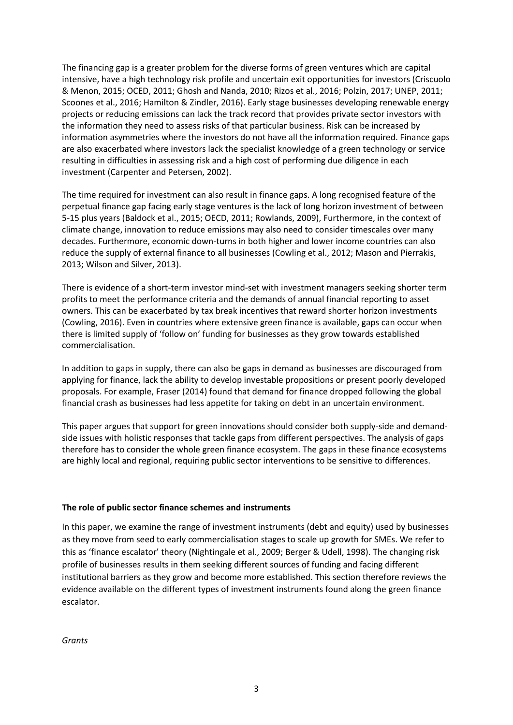The financing gap is a greater problem for the diverse forms of green ventures which are capital intensive, have a high technology risk profile and uncertain exit opportunities for investors (Criscuolo & Menon, 2015; OCED, 2011; Ghosh and Nanda, 2010; Rizos et al., 2016; Polzin, 2017; UNEP, 2011; Scoones et al., 2016; Hamilton & Zindler, 2016). Early stage businesses developing renewable energy projects or reducing emissions can lack the track record that provides private sector investors with the information they need to assess risks of that particular business. Risk can be increased by information asymmetries where the investors do not have all the information required. Finance gaps are also exacerbated where investors lack the specialist knowledge of a green technology or service resulting in difficulties in assessing risk and a high cost of performing due diligence in each investment (Carpenter and Petersen, 2002).

The time required for investment can also result in finance gaps. A long recognised feature of the perpetual finance gap facing early stage ventures is the lack of long horizon investment of between 5-15 plus years (Baldock et al., 2015; OECD, 2011; Rowlands, 2009), Furthermore, in the context of climate change, innovation to reduce emissions may also need to consider timescales over many decades. Furthermore, economic down-turns in both higher and lower income countries can also reduce the supply of external finance to all businesses (Cowling et al., 2012; Mason and Pierrakis, 2013; Wilson and Silver, 2013).

There is evidence of a short-term investor mind-set with investment managers seeking shorter term profits to meet the performance criteria and the demands of annual financial reporting to asset owners. This can be exacerbated by tax break incentives that reward shorter horizon investments (Cowling, 2016). Even in countries where extensive green finance is available, gaps can occur when there is limited supply of 'follow on' funding for businesses as they grow towards established commercialisation.

In addition to gaps in supply, there can also be gaps in demand as businesses are discouraged from applying for finance, lack the ability to develop investable propositions or present poorly developed proposals. For example, Fraser (2014) found that demand for finance dropped following the global financial crash as businesses had less appetite for taking on debt in an uncertain environment.

This paper argues that support for green innovations should consider both supply-side and demandside issues with holistic responses that tackle gaps from different perspectives. The analysis of gaps therefore has to consider the whole green finance ecosystem. The gaps in these finance ecosystems are highly local and regional, requiring public sector interventions to be sensitive to differences.

#### **The role of public sector finance schemes and instruments**

In this paper, we examine the range of investment instruments (debt and equity) used by businesses as they move from seed to early commercialisation stages to scale up growth for SMEs. We refer to this as 'finance escalator' theory (Nightingale et al., 2009; Berger & Udell, 1998). The changing risk profile of businesses results in them seeking different sources of funding and facing different institutional barriers as they grow and become more established. This section therefore reviews the evidence available on the different types of investment instruments found along the green finance escalator.

*Grants*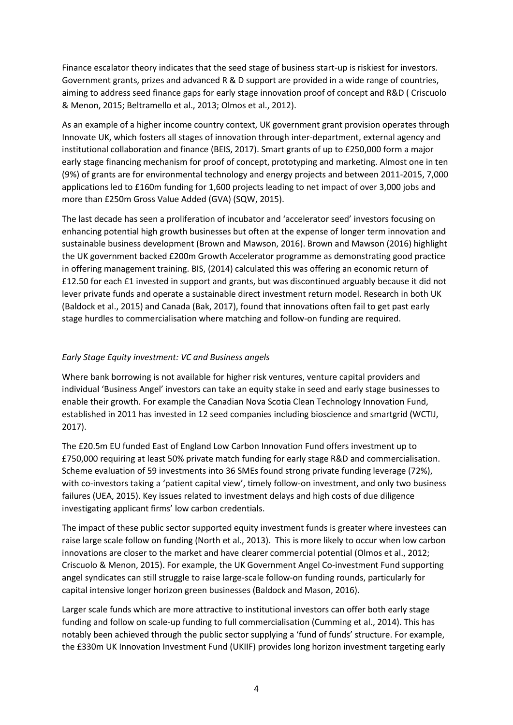Finance escalator theory indicates that the seed stage of business start-up is riskiest for investors. Government grants, prizes and advanced R & D support are provided in a wide range of countries, aiming to address seed finance gaps for early stage innovation proof of concept and R&D ( Criscuolo & Menon, 2015; Beltramello et al., 2013; Olmos et al., 2012).

As an example of a higher income country context, UK government grant provision operates through Innovate UK, which fosters all stages of innovation through inter-department, external agency and institutional collaboration and finance (BEIS, 2017). Smart grants of up to £250,000 form a major early stage financing mechanism for proof of concept, prototyping and marketing. Almost one in ten (9%) of grants are for environmental technology and energy projects and between 2011-2015, 7,000 applications led to £160m funding for 1,600 projects leading to net impact of over 3,000 jobs and more than £250m Gross Value Added (GVA) (SQW, 2015).

The last decade has seen a proliferation of incubator and 'accelerator seed' investors focusing on enhancing potential high growth businesses but often at the expense of longer term innovation and sustainable business development (Brown and Mawson, 2016). Brown and Mawson (2016) highlight the UK government backed £200m Growth Accelerator programme as demonstrating good practice in offering management training. BIS, (2014) calculated this was offering an economic return of £12.50 for each £1 invested in support and grants, but was discontinued arguably because it did not lever private funds and operate a sustainable direct investment return model. Research in both UK (Baldock et al., 2015) and Canada (Bak, 2017), found that innovations often fail to get past early stage hurdles to commercialisation where matching and follow-on funding are required.

## *Early Stage Equity investment: VC and Business angels*

Where bank borrowing is not available for higher risk ventures, venture capital providers and individual 'Business Angel' investors can take an equity stake in seed and early stage businesses to enable their growth. For example the Canadian Nova Scotia Clean Technology Innovation Fund, established in 2011 has invested in 12 seed companies including bioscience and smartgrid (WCTIJ, 2017).

The £20.5m EU funded East of England Low Carbon Innovation Fund offers investment up to £750,000 requiring at least 50% private match funding for early stage R&D and commercialisation. Scheme evaluation of 59 investments into 36 SMEs found strong private funding leverage (72%), with co-investors taking a 'patient capital view', timely follow-on investment, and only two business failures (UEA, 2015). Key issues related to investment delays and high costs of due diligence investigating applicant firms' low carbon credentials.

The impact of these public sector supported equity investment funds is greater where investees can raise large scale follow on funding (North et al., 2013). This is more likely to occur when low carbon innovations are closer to the market and have clearer commercial potential (Olmos et al., 2012; Criscuolo & Menon, 2015). For example, the UK Government Angel Co-investment Fund supporting angel syndicates can still struggle to raise large-scale follow-on funding rounds, particularly for capital intensive longer horizon green businesses (Baldock and Mason, 2016).

Larger scale funds which are more attractive to institutional investors can offer both early stage funding and follow on scale-up funding to full commercialisation (Cumming et al., 2014). This has notably been achieved through the public sector supplying a 'fund of funds' structure. For example, the £330m UK Innovation Investment Fund (UKIIF) provides long horizon investment targeting early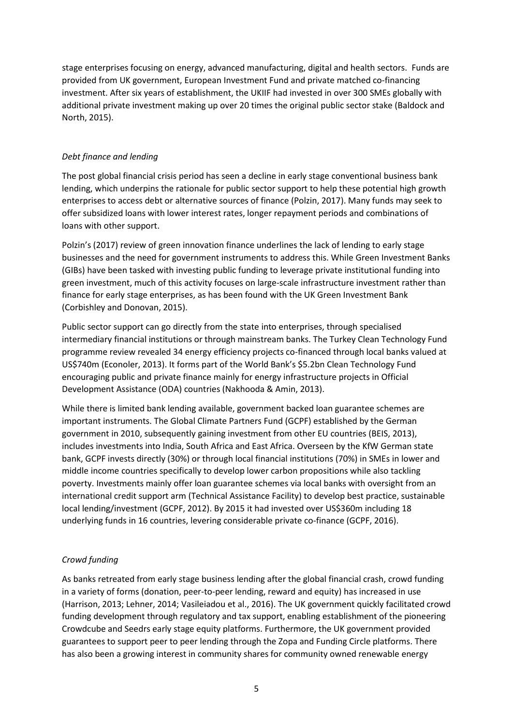stage enterprises focusing on energy, advanced manufacturing, digital and health sectors. Funds are provided from UK government, European Investment Fund and private matched co-financing investment. After six years of establishment, the UKIIF had invested in over 300 SMEs globally with additional private investment making up over 20 times the original public sector stake (Baldock and North, 2015).

#### *Debt finance and lending*

The post global financial crisis period has seen a decline in early stage conventional business bank lending, which underpins the rationale for public sector support to help these potential high growth enterprises to access debt or alternative sources of finance (Polzin, 2017). Many funds may seek to offer subsidized loans with lower interest rates, longer repayment periods and combinations of loans with other support.

Polzin's (2017) review of green innovation finance underlines the lack of lending to early stage businesses and the need for government instruments to address this. While Green Investment Banks (GIBs) have been tasked with investing public funding to leverage private institutional funding into green investment, much of this activity focuses on large-scale infrastructure investment rather than finance for early stage enterprises, as has been found with the UK Green Investment Bank (Corbishley and Donovan, 2015).

Public sector support can go directly from the state into enterprises, through specialised intermediary financial institutions or through mainstream banks. The Turkey Clean Technology Fund programme review revealed 34 energy efficiency projects co-financed through local banks valued at US\$740m (Econoler, 2013). It forms part of the World Bank's \$5.2bn Clean Technology Fund encouraging public and private finance mainly for energy infrastructure projects in Official Development Assistance (ODA) countries (Nakhooda & Amin, 2013).

While there is limited bank lending available, government backed loan guarantee schemes are important instruments. The Global Climate Partners Fund (GCPF) established by the German government in 2010, subsequently gaining investment from other EU countries (BEIS, 2013), includes investments into India, South Africa and East Africa. Overseen by the KfW German state bank, GCPF invests directly (30%) or through local financial institutions (70%) in SMEs in lower and middle income countries specifically to develop lower carbon propositions while also tackling poverty. Investments mainly offer loan guarantee schemes via local banks with oversight from an international credit support arm (Technical Assistance Facility) to develop best practice, sustainable local lending/investment (GCPF, 2012). By 2015 it had invested over US\$360m including 18 underlying funds in 16 countries, levering considerable private co-finance (GCPF, 2016).

## *Crowd funding*

As banks retreated from early stage business lending after the global financial crash, crowd funding in a variety of forms (donation, peer-to-peer lending, reward and equity) has increased in use (Harrison, 2013; Lehner, 2014; Vasileiadou et al., 2016). The UK government quickly facilitated crowd funding development through regulatory and tax support, enabling establishment of the pioneering Crowdcube and Seedrs early stage equity platforms. Furthermore, the UK government provided guarantees to support peer to peer lending through the Zopa and Funding Circle platforms. There has also been a growing interest in community shares for community owned renewable energy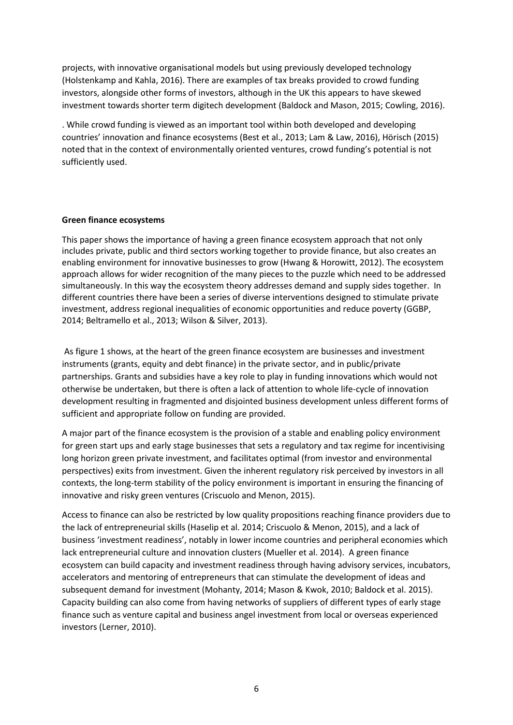projects, with innovative organisational models but using previously developed technology (Holstenkamp and Kahla, 2016). There are examples of tax breaks provided to crowd funding investors, alongside other forms of investors, although in the UK this appears to have skewed investment towards shorter term digitech development (Baldock and Mason, 2015; Cowling, 2016).

. While crowd funding is viewed as an important tool within both developed and developing countries' innovation and finance ecosystems (Best et al., 2013; Lam & Law, 2016), Hörisch (2015) noted that in the context of environmentally oriented ventures, crowd funding's potential is not sufficiently used.

#### **Green finance ecosystems**

This paper shows the importance of having a green finance ecosystem approach that not only includes private, public and third sectors working together to provide finance, but also creates an enabling environment for innovative businesses to grow (Hwang & Horowitt, 2012). The ecosystem approach allows for wider recognition of the many pieces to the puzzle which need to be addressed simultaneously. In this way the ecosystem theory addresses demand and supply sides together. In different countries there have been a series of diverse interventions designed to stimulate private investment, address regional inequalities of economic opportunities and reduce poverty (GGBP, 2014; Beltramello et al., 2013; Wilson & Silver, 2013).

As figure 1 shows, at the heart of the green finance ecosystem are businesses and investment instruments (grants, equity and debt finance) in the private sector, and in public/private partnerships. Grants and subsidies have a key role to play in funding innovations which would not otherwise be undertaken, but there is often a lack of attention to whole life-cycle of innovation development resulting in fragmented and disjointed business development unless different forms of sufficient and appropriate follow on funding are provided.

A major part of the finance ecosystem is the provision of a stable and enabling policy environment for green start ups and early stage businesses that sets a regulatory and tax regime for incentivising long horizon green private investment, and facilitates optimal (from investor and environmental perspectives) exits from investment. Given the inherent regulatory risk perceived by investors in all contexts, the long-term stability of the policy environment is important in ensuring the financing of innovative and risky green ventures (Criscuolo and Menon, 2015).

Access to finance can also be restricted by low quality propositions reaching finance providers due to the lack of entrepreneurial skills (Haselip et al. 2014; Criscuolo & Menon, 2015), and a lack of business 'investment readiness', notably in lower income countries and peripheral economies which lack entrepreneurial culture and innovation clusters (Mueller et al. 2014). A green finance ecosystem can build capacity and investment readiness through having advisory services, incubators, accelerators and mentoring of entrepreneurs that can stimulate the development of ideas and subsequent demand for investment (Mohanty, 2014; Mason & Kwok, 2010; Baldock et al. 2015). Capacity building can also come from having networks of suppliers of different types of early stage finance such as venture capital and business angel investment from local or overseas experienced investors (Lerner, 2010).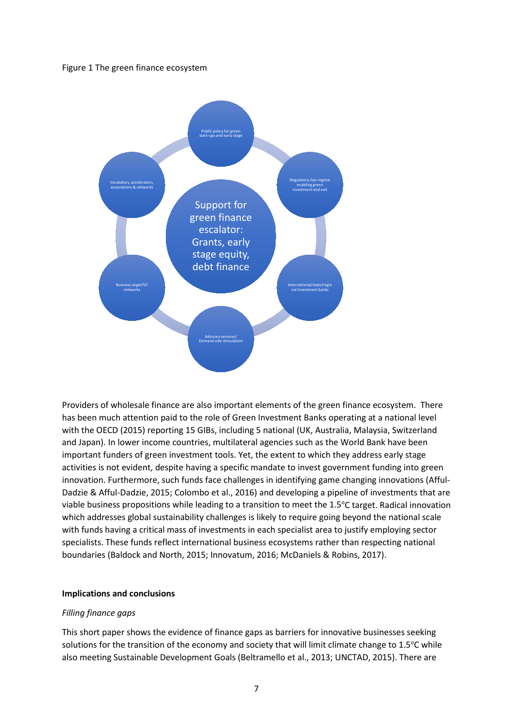#### Figure 1 The green finance ecosystem



Providers of wholesale finance are also important elements of the green finance ecosystem. There has been much attention paid to the role of Green Investment Banks operating at a national level with the OECD (2015) reporting 15 GIBs, including 5 national (UK, Australia, Malaysia, Switzerland and Japan). In lower income countries, multilateral agencies such as the World Bank have been important funders of green investment tools. Yet, the extent to which they address early stage activities is not evident, despite having a specific mandate to invest government funding into green innovation. Furthermore, such funds face challenges in identifying game changing innovations (Afful-Dadzie & Afful-Dadzie, 2015; Colombo et al., 2016) and developing a pipeline of investments that are viable business propositions while leading to a transition to meet the 1.5°C target. Radical innovation which addresses global sustainability challenges is likely to require going beyond the national scale with funds having a critical mass of investments in each specialist area to justify employing sector specialists. These funds reflect international business ecosystems rather than respecting national boundaries (Baldock and North, 2015; Innovatum, 2016; McDaniels & Robins, 2017).

#### **Implications and conclusions**

#### *Filling finance gaps*

This short paper shows the evidence of finance gaps as barriers for innovative businesses seeking solutions for the transition of the economy and society that will limit climate change to  $1.5^{\circ}$ C while also meeting Sustainable Development Goals (Beltramello et al., 2013; UNCTAD, 2015). There are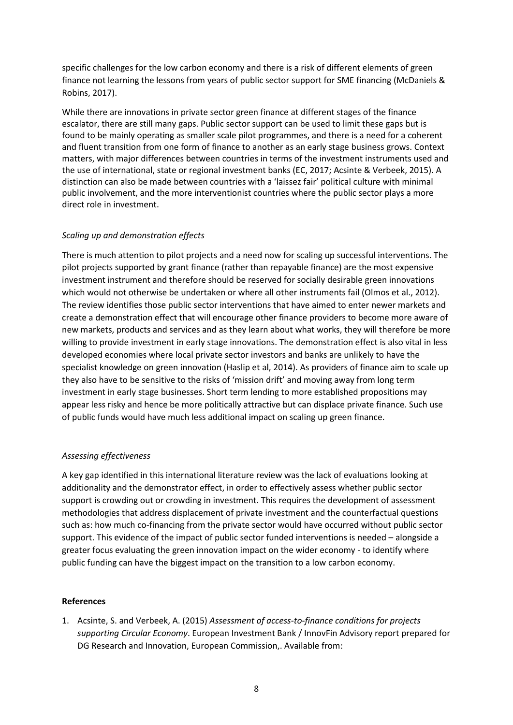specific challenges for the low carbon economy and there is a risk of different elements of green finance not learning the lessons from years of public sector support for SME financing (McDaniels & Robins, 2017).

While there are innovations in private sector green finance at different stages of the finance escalator, there are still many gaps. Public sector support can be used to limit these gaps but is found to be mainly operating as smaller scale pilot programmes, and there is a need for a coherent and fluent transition from one form of finance to another as an early stage business grows. Context matters, with major differences between countries in terms of the investment instruments used and the use of international, state or regional investment banks (EC, 2017; Acsinte & Verbeek, 2015). A distinction can also be made between countries with a 'laissez fair' political culture with minimal public involvement, and the more interventionist countries where the public sector plays a more direct role in investment.

#### *Scaling up and demonstration effects*

There is much attention to pilot projects and a need now for scaling up successful interventions. The pilot projects supported by grant finance (rather than repayable finance) are the most expensive investment instrument and therefore should be reserved for socially desirable green innovations which would not otherwise be undertaken or where all other instruments fail (Olmos et al., 2012). The review identifies those public sector interventions that have aimed to enter newer markets and create a demonstration effect that will encourage other finance providers to become more aware of new markets, products and services and as they learn about what works, they will therefore be more willing to provide investment in early stage innovations. The demonstration effect is also vital in less developed economies where local private sector investors and banks are unlikely to have the specialist knowledge on green innovation (Haslip et al, 2014). As providers of finance aim to scale up they also have to be sensitive to the risks of 'mission drift' and moving away from long term investment in early stage businesses. Short term lending to more established propositions may appear less risky and hence be more politically attractive but can displace private finance. Such use of public funds would have much less additional impact on scaling up green finance.

#### *Assessing effectiveness*

A key gap identified in this international literature review was the lack of evaluations looking at additionality and the demonstrator effect, in order to effectively assess whether public sector support is crowding out or crowding in investment. This requires the development of assessment methodologies that address displacement of private investment and the counterfactual questions such as: how much co-financing from the private sector would have occurred without public sector support. This evidence of the impact of public sector funded interventions is needed – alongside a greater focus evaluating the green innovation impact on the wider economy - to identify where public funding can have the biggest impact on the transition to a low carbon economy.

#### **References**

1. Acsinte, S. and Verbeek, A. (2015) *Assessment of access-to-finance conditions for projects supporting Circular Economy*. European Investment Bank / InnovFin Advisory report prepared for DG Research and Innovation, European Commission,. Available from: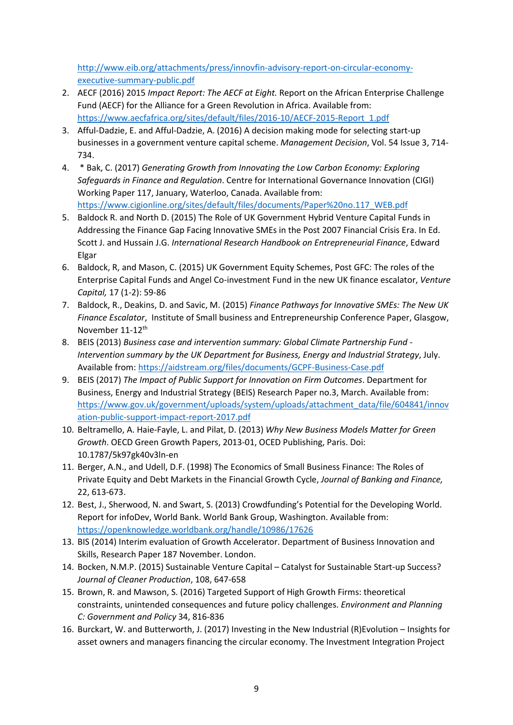[http://www.eib.org/attachments/press/innovfin-advisory-report-on-circular-economy](http://www.eib.org/attachments/press/innovfin-advisory-report-on-circular-economy-executive-summary-public.pdf)[executive-summary-public.pdf](http://www.eib.org/attachments/press/innovfin-advisory-report-on-circular-economy-executive-summary-public.pdf)

- 2. AECF (2016) 2015 *Impact Report: The AECF at Eight.* Report on the African Enterprise Challenge Fund (AECF) for the Alliance for a Green Revolution in Africa. Available from: [https://www.aecfafrica.org/sites/default/files/2016-10/AECF-2015-Report\\_1.pdf](https://www.aecfafrica.org/sites/default/files/2016-10/AECF-2015-Report_1.pdf)
- 3. Afful-Dadzie, E. and Afful-Dadzie, A. (2016) A decision making mode for selecting start-up businesses in a government venture capital scheme. *Management Decision*, Vol. 54 Issue 3, 714- 734.
- 4. \* Bak, C. (2017) *Generating Growth from Innovating the Low Carbon Economy: Exploring Safeguards in Finance and Regulation*. Centre for International Governance Innovation (CIGI) Working Paper 117, January, Waterloo, Canada. Available from: [https://www.cigionline.org/sites/default/files/documents/Paper%20no.117\\_WEB.pdf](https://www.cigionline.org/sites/default/files/documents/Paper%20no.117_WEB.pdf)
- 5. Baldock R. and North D. (2015) The Role of UK Government Hybrid Venture Capital Funds in Addressing the Finance Gap Facing Innovative SMEs in the Post 2007 Financial Crisis Era. In Ed. Scott J. and Hussain J.G. *International Research Handbook on Entrepreneurial Finance*, Edward Elgar
- 6. Baldock, R, and Mason, C. (2015) UK Government Equity Schemes, Post GFC: The roles of the Enterprise Capital Funds and Angel Co-investment Fund in the new UK finance escalator, *Venture Capital,* 17 (1-2): 59-86
- 7. Baldock, R., Deakins, D. and Savic, M. (2015) *Finance Pathways for Innovative SMEs: The New UK Finance Escalator*, Institute of Small business and Entrepreneurship Conference Paper, Glasgow, November 11-12<sup>th</sup>
- 8. BEIS (2013) *Business case and intervention summary: Global Climate Partnership Fund - Intervention summary by the UK Department for Business, Energy and Industrial Strategy*, July. Available from:<https://aidstream.org/files/documents/GCPF-Business-Case.pdf>
- 9. BEIS (2017) *The Impact of Public Support for Innovation on Firm Outcomes*. Department for Business, Energy and Industrial Strategy (BEIS) Research Paper no.3, March. Available from: [https://www.gov.uk/government/uploads/system/uploads/attachment\\_data/file/604841/innov](https://www.gov.uk/government/uploads/system/uploads/attachment_data/file/604841/innovation-public-support-impact-report-2017.pdf) [ation-public-support-impact-report-2017.pdf](https://www.gov.uk/government/uploads/system/uploads/attachment_data/file/604841/innovation-public-support-impact-report-2017.pdf)
- 10. Beltramello, A. Haie-Fayle, L. and Pilat, D. (2013) *Why New Business Models Matter for Green Growth*. OECD Green Growth Papers, 2013-01, OCED Publishing, Paris. Doi: 10.1787/5k97gk40v3ln-en
- 11. Berger, A.N., and Udell, D.F. (1998) The Economics of Small Business Finance: The Roles of Private Equity and Debt Markets in the Financial Growth Cycle, *Journal of Banking and Finance,*  22, 613-673.
- 12. Best, J., Sherwood, N. and Swart, S. (2013) Crowdfunding's Potential for the Developing World. Report for infoDev, World Bank. World Bank Group, Washington. Available from: <https://openknowledge.worldbank.org/handle/10986/17626>
- 13. BIS (2014) Interim evaluation of Growth Accelerator. Department of Business Innovation and Skills, Research Paper 187 November. London.
- 14. Bocken, N.M.P. (2015) Sustainable Venture Capital Catalyst for Sustainable Start-up Success? *Journal of Cleaner Production*, 108, 647-658
- 15. Brown, R. and Mawson, S. (2016) Targeted Support of High Growth Firms: theoretical constraints, unintended consequences and future policy challenges. *Environment and Planning C: Government and Policy* 34, 816-836
- 16. Burckart, W. and Butterworth, J. (2017) Investing in the New Industrial (R)Evolution Insights for asset owners and managers financing the circular economy. The Investment Integration Project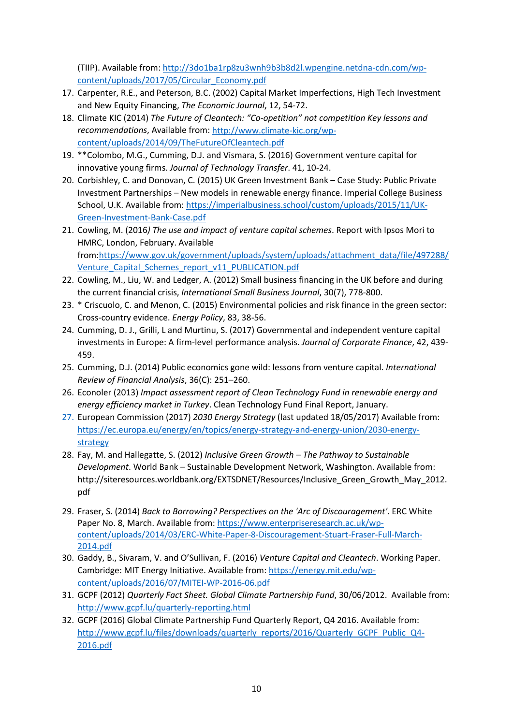(TIIP). Available from: [http://3do1ba1rp8zu3wnh9b3b8d2l.wpengine.netdna-cdn.com/wp](http://3do1ba1rp8zu3wnh9b3b8d2l.wpengine.netdna-cdn.com/wp-content/uploads/2017/05/Circular_Economy.pdf)[content/uploads/2017/05/Circular\\_Economy.pdf](http://3do1ba1rp8zu3wnh9b3b8d2l.wpengine.netdna-cdn.com/wp-content/uploads/2017/05/Circular_Economy.pdf)

- 17. Carpenter, R.E., and Peterson, B.C. (2002) Capital Market Imperfections, High Tech Investment and New Equity Financing, *The Economic Journal*, 12, 54-72.
- 18. Climate KIC (2014) *The Future of Cleantech: "Co-opetition" not competition Key lessons and recommendations*, Available from: [http://www.climate-kic.org/wp](http://www.climate-kic.org/wp-content/uploads/2014/09/TheFutureOfCleantech.pdf)[content/uploads/2014/09/TheFutureOfCleantech.pdf](http://www.climate-kic.org/wp-content/uploads/2014/09/TheFutureOfCleantech.pdf)
- 19. \*\*Colombo, M.G., Cumming, D.J. and Vismara, S. (2016) Government venture capital for innovative young firms. *Journal of Technology Transfer*. 41, 10-24.
- 20. Corbishley, C. and Donovan, C. (2015) UK Green Investment Bank Case Study: Public Private Investment Partnerships – New models in renewable energy finance. Imperial College Business School, U.K. Available from: [https://imperialbusiness.school/custom/uploads/2015/11/UK-](https://imperialbusiness.school/custom/uploads/2015/11/UK-Green-Investment-Bank-Case.pdf)[Green-Investment-Bank-Case.pdf](https://imperialbusiness.school/custom/uploads/2015/11/UK-Green-Investment-Bank-Case.pdf)
- 21. Cowling, M. (2016*) The use and impact of venture capital schemes*. Report with Ipsos Mori to HMRC, London, February. Available from[:https://www.gov.uk/government/uploads/system/uploads/attachment\\_data/file/497288/](https://www.gov.uk/government/uploads/system/uploads/attachment_data/file/497288/Venture_Capital_Schemes_report_v11_PUBLICATION.pdf) Venture Capital Schemes report v11 PUBLICATION.pdf
- 22. Cowling, M., Liu, W. and Ledger, A. (2012) Small business financing in the UK before and during the current financial crisis, *International Small Business Journal*, 30(7), 778-800.
- 23. \* Criscuolo, C. and Menon, C. (2015) Environmental policies and risk finance in the green sector: Cross-country evidence. *Energy Policy*, 83, 38-56.
- 24. Cumming, D. J., Grilli, L and Murtinu, S. (2017) Governmental and independent venture capital investments in Europe: A firm-level performance analysis. *Journal of Corporate Finance*, 42, 439- 459.
- 25. Cumming, D.J. (2014) Public economics gone wild: lessons from venture capital. *International Review of Financial Analysis*, 36(C): 251–260.
- 26. Econoler (2013) *Impact assessment report of Clean Technology Fund in renewable energy and energy efficiency market in Turkey*. Clean Technology Fund Final Report, January.
- 27. European Commission (2017) *2030 Energy Strategy* (last updated 18/05/2017) Available from: [https://ec.europa.eu/energy/en/topics/energy-strategy-and-energy-union/2030-energy](https://ec.europa.eu/energy/en/topics/energy-strategy-and-energy-union/2030-energy-strategy)[strategy](https://ec.europa.eu/energy/en/topics/energy-strategy-and-energy-union/2030-energy-strategy)
- 28. Fay, M. and Hallegatte, S. (2012) *Inclusive Green Growth – The Pathway to Sustainable Development*. World Bank – Sustainable Development Network, Washington. Available from: http://siteresources.worldbank.org/EXTSDNET/Resources/Inclusive Green Growth May 2012. pdf
- 29. Fraser, S. (2014) *Back to Borrowing? Perspectives on the 'Arc of Discouragement'*. ERC White Paper No. 8, March. Available from: [https://www.enterpriseresearch.ac.uk/wp](https://www.enterpriseresearch.ac.uk/wp-content/uploads/2014/03/ERC-White-Paper-8-Discouragement-Stuart-Fraser-Full-March-2014.pdf)[content/uploads/2014/03/ERC-White-Paper-8-Discouragement-Stuart-Fraser-Full-March-](https://www.enterpriseresearch.ac.uk/wp-content/uploads/2014/03/ERC-White-Paper-8-Discouragement-Stuart-Fraser-Full-March-2014.pdf)[2014.pdf](https://www.enterpriseresearch.ac.uk/wp-content/uploads/2014/03/ERC-White-Paper-8-Discouragement-Stuart-Fraser-Full-March-2014.pdf)
- 30. Gaddy, B., Sivaram, V. and O'Sullivan, F. (2016) *Venture Capital and Cleantech*. Working Paper. Cambridge: MIT Energy Initiative. Available from: [https://energy.mit.edu/wp](https://energy.mit.edu/wp-content/uploads/2016/07/MITEI-WP-2016-06.pdf)[content/uploads/2016/07/MITEI-WP-2016-06.pdf](https://energy.mit.edu/wp-content/uploads/2016/07/MITEI-WP-2016-06.pdf)
- 31. GCPF (2012) *Quarterly Fact Sheet. Global Climate Partnership Fund*, 30/06/2012. Available from: http://www.gcpf.lu/quarterly-reporting.html
- 32. GCPF (2016) Global Climate Partnership Fund Quarterly Report, Q4 2016. Available from: [http://www.gcpf.lu/files/downloads/quarterly\\_reports/2016/Quarterly\\_GCPF\\_Public\\_Q4-](http://www.gcpf.lu/files/downloads/quarterly_reports/2016/Quarterly_GCPF_Public_Q4-2016.pdf) [2016.pdf](http://www.gcpf.lu/files/downloads/quarterly_reports/2016/Quarterly_GCPF_Public_Q4-2016.pdf)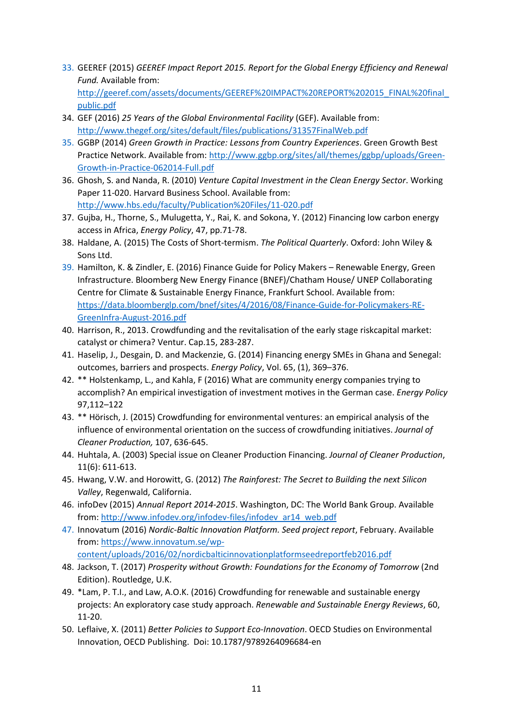- 33. GEEREF (2015) *GEEREF Impact Report 2015. Report for the Global Energy Efficiency and Renewal Fund.* Available from: [http://geeref.com/assets/documents/GEEREF%20IMPACT%20REPORT%202015\\_FINAL%20final\\_](http://geeref.com/assets/documents/GEEREF%20IMPACT%20REPORT%202015_FINAL%20final_public.pdf)
- [public.pdf](http://geeref.com/assets/documents/GEEREF%20IMPACT%20REPORT%202015_FINAL%20final_public.pdf) 34. GEF (2016) *25 Years of the Global Environmental Facility* (GEF). Available from: <http://www.thegef.org/sites/default/files/publications/31357FinalWeb.pdf>
- 35. GGBP (2014) *Green Growth in Practice: Lessons from Country Experiences*. Green Growth Best Practice Network. Available from[: http://www.ggbp.org/sites/all/themes/ggbp/uploads/Green-](http://www.ggbp.org/sites/all/themes/ggbp/uploads/Green-Growth-in-Practice-062014-Full.pdf)[Growth-in-Practice-062014-Full.pdf](http://www.ggbp.org/sites/all/themes/ggbp/uploads/Green-Growth-in-Practice-062014-Full.pdf)
- 36. Ghosh, S. and Nanda, R. (2010) *Venture Capital Investment in the Clean Energy Sector*. Working Paper 11-020. Harvard Business School. Available from: <http://www.hbs.edu/faculty/Publication%20Files/11-020.pdf>
- 37. Gujba, H., Thorne, S., Mulugetta, Y., Rai, K. and Sokona, Y. (2012) Financing low carbon energy access in Africa, *Energy Policy*, 47, pp.71-78.
- 38. Haldane, A. (2015) The Costs of Short-termism. *The Political Quarterly*. Oxford: John Wiley & Sons Ltd.
- 39. Hamilton, K. & Zindler, E. (2016) Finance Guide for Policy Makers Renewable Energy, Green Infrastructure. Bloomberg New Energy Finance (BNEF)/Chatham House/ UNEP Collaborating Centre for Climate & Sustainable Energy Finance, Frankfurt School. Available from: [https://data.bloomberglp.com/bnef/sites/4/2016/08/Finance-Guide-for-Policymakers-RE-](https://data.bloomberglp.com/bnef/sites/4/2016/08/Finance-Guide-for-Policymakers-RE-GreenInfra-August-2016.pdf)[GreenInfra-August-2016.pdf](https://data.bloomberglp.com/bnef/sites/4/2016/08/Finance-Guide-for-Policymakers-RE-GreenInfra-August-2016.pdf)
- 40. Harrison, R., 2013. Crowdfunding and the revitalisation of the early stage riskcapital market: catalyst or chimera? Ventur. Cap.15, 283-287.
- 41. Haselip, J., Desgain, D. and Mackenzie, G. (2014) Financing energy SMEs in Ghana and Senegal: outcomes, barriers and prospects. *Energy Policy*, Vol. 65, (1), 369–376.
- 42. \*\* Holstenkamp, L., and Kahla, F (2016) What are community energy companies trying to accomplish? An empirical investigation of investment motives in the German case. *Energy Policy* 97,112–122
- 43. \*\* Hörisch, J. (2015) Crowdfunding for environmental ventures: an empirical analysis of the influence of environmental orientation on the success of crowdfunding initiatives. *Journal of Cleaner Production,* 107, 636-645.
- 44. Huhtala, A. (2003) Special issue on Cleaner Production Financing. *Journal of Cleaner Production*, 11(6): 611-613.
- 45. Hwang, V.W. and Horowitt, G. (2012) *The Rainforest: The Secret to Building the next Silicon Valley*, Regenwald, California.
- 46. infoDev (2015) *Annual Report 2014-2015*. Washington, DC: The World Bank Group. Available from: [http://www.infodev.org/infodev-files/infodev\\_ar14\\_web.pdf](http://www.infodev.org/infodev-files/infodev_ar14_web.pdf)
- 47. Innovatum (2016) *Nordic-Baltic Innovation Platform. Seed project report*, February. Available from: [https://www.innovatum.se/wp](https://www.innovatum.se/wp-content/uploads/2016/02/nordicbalticinnovationplatformseedreportfeb2016.pdf)
	- [content/uploads/2016/02/nordicbalticinnovationplatformseedreportfeb2016.pdf](https://www.innovatum.se/wp-content/uploads/2016/02/nordicbalticinnovationplatformseedreportfeb2016.pdf)
- 48. Jackson, T. (2017) *Prosperity without Growth: Foundations for the Economy of Tomorrow* (2nd Edition). Routledge, U.K.
- 49. \*Lam, P. T.I., and Law, A.O.K. (2016) Crowdfunding for renewable and sustainable energy projects: An exploratory case study approach. *Renewable and Sustainable Energy Reviews*, 60, 11-20.
- 50. Leflaive, X. (2011) *Better Policies to Support Eco-Innovation*. OECD Studies on Environmental Innovation, OECD Publishing. Doi: 10.1787/9789264096684-en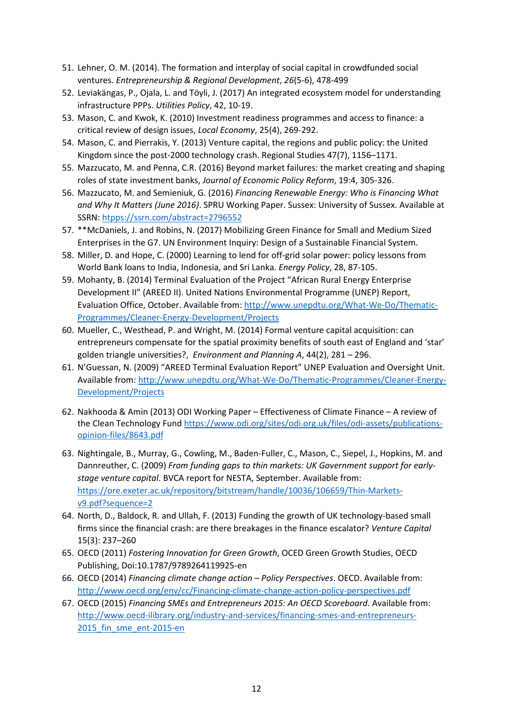- 51. Lehner, O. M. (2014). The formation and interplay of social capital in crowdfunded social ventures. *Entrepreneurship & Regional Development*, *26*(5-6), 478-499
- 52. Leviakängas, P., Ojala, L. and Töyli, J. (2017) An integrated ecosystem model for understanding infrastructure PPPs. *Utilities Policy*, 42, 10-19.
- 53. Mason, C. and Kwok, K. (2010) Investment readiness programmes and access to finance: a critical review of design issues, *Local Economy*, 25(4), 269-292.
- 54. Mason, C. and Pierrakis, Y. (2013) Venture capital, the regions and public policy: the United Kingdom since the post-2000 technology crash. Regional Studies 47(7), 1156–1171.
- 55. Mazzucato, M. and Penna, C.R. (2016) Beyond market failures: the market creating and shaping roles of state investment banks, *Journal of Economic Policy Reform*, 19:4, 305-326.
- 56. Mazzucato, M. and Semieniuk, G. (2016) *Financing Renewable Energy: Who is Financing What and Why It Matters (June 2016)*. SPRU Working Paper. Sussex: University of Sussex. Available at SSRN: htpps://ssrn.com/abstract=2796552
- 57. \*\*McDaniels, J. and Robins, N. (2017) Mobilizing Green Finance for Small and Medium Sized Enterprises in the G7. UN Environment Inquiry: Design of a Sustainable Financial System.
- 58. Miller, D. and Hope, C. (2000) Learning to lend for off-grid solar power: policy lessons from World Bank loans to India, Indonesia, and Sri Lanka. *Energy Policy*, 28, 87-105.
- 59. Mohanty, B. (2014) Terminal Evaluation of the Project "African Rural Energy Enterprise Development II" (AREED II). United Nations Environmental Programme (UNEP) Report, Evaluation Office, October. Available from: [http://www.unepdtu.org/What-We-Do/Thematic-](http://www.unepdtu.org/What-We-Do/Thematic-Programmes/Cleaner-Energy-Development/Projects)[Programmes/Cleaner-Energy-Development/Projects](http://www.unepdtu.org/What-We-Do/Thematic-Programmes/Cleaner-Energy-Development/Projects)
- 60. Mueller, C., Westhead, P. and Wright, M. (2014) Formal venture capital acquisition: can entrepreneurs compensate for the spatial proximity benefits of south east of England and 'star' golden triangle universities?, *Environment and Planning A*, 44(2), 281 – 296.
- 61. N'Guessan, N. (2009) "AREED Terminal Evaluation Report" UNEP Evaluation and Oversight Unit. Available from: [http://www.unepdtu.org/What-We-Do/Thematic-Programmes/Cleaner-Energy-](http://www.unepdtu.org/What-We-Do/Thematic-Programmes/Cleaner-Energy-Development/Projects)[Development/Projects](http://www.unepdtu.org/What-We-Do/Thematic-Programmes/Cleaner-Energy-Development/Projects)
- 62. Nakhooda & Amin (2013) ODI Working Paper Effectiveness of Climate Finance A review of the Clean Technology Fun[d https://www.odi.org/sites/odi.org.uk/files/odi-assets/publications](https://www.odi.org/sites/odi.org.uk/files/odi-assets/publications-opinion-files/8643.pdf)[opinion-files/8643.pdf](https://www.odi.org/sites/odi.org.uk/files/odi-assets/publications-opinion-files/8643.pdf)
- 63. Nightingale, B., Murray, G., Cowling, M., Baden-Fuller, C., Mason, C., Siepel, J., Hopkins, M. and Dannreuther, C. (2009) *From funding gaps to thin markets: UK Government support for earlystage venture capital*. BVCA report for NESTA, September. Available from: [https://ore.exeter.ac.uk/repository/bitstream/handle/10036/106659/Thin-Markets](https://ore.exeter.ac.uk/repository/bitstream/handle/10036/106659/Thin-Markets-v9.pdf?sequence=2)[v9.pdf?sequence=2](https://ore.exeter.ac.uk/repository/bitstream/handle/10036/106659/Thin-Markets-v9.pdf?sequence=2)
- 64. North, D., Baldock, R. and Ullah, F. (2013) Funding the growth of UK technology-based small firms since the financial crash: are there breakages in the finance escalator? *Venture Capital* 15(3): 237–260
- 65. OECD (2011) *Fostering Innovation for Green Growth*, OCED Green Growth Studies, OECD Publishing, Doi:10.1787/9789264119925-en
- 66. OECD (2014) *Financing climate change action – Policy Perspectives*. OECD. Available from: <http://www.oecd.org/env/cc/Financing-climate-change-action-policy-perspectives.pdf>
- 67. OECD (2015) *Financing SMEs and Entrepreneurs 2015: An OECD Scoreboard*. Available from: [http://www.oecd-ilibrary.org/industry-and-services/financing-smes-and-entrepreneurs-](http://www.oecd-ilibrary.org/industry-and-services/financing-smes-and-entrepreneurs-2015_fin_sme_ent-2015-en)2015 fin sme ent-2015-en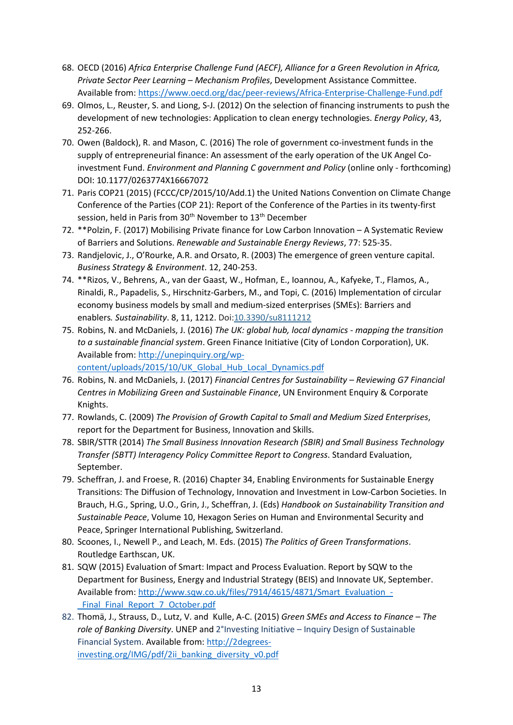- 68. OECD (2016) *Africa Enterprise Challenge Fund (AECF), Alliance for a Green Revolution in Africa, Private Sector Peer Learning – Mechanism Profiles*, Development Assistance Committee. Available from:<https://www.oecd.org/dac/peer-reviews/Africa-Enterprise-Challenge-Fund.pdf>
- 69. Olmos, L., Reuster, S. and Liong, S-J. (2012) On the selection of financing instruments to push the development of new technologies: Application to clean energy technologies. *Energy Policy*, 43, 252-266.
- 70. Owen (Baldock), R. and Mason, C. (2016) The role of government co-investment funds in the supply of entrepreneurial finance: An assessment of the early operation of the UK Angel Coinvestment Fund. *Environment and Planning C government and Policy* (online only - forthcoming) DOI: 10.1177/0263774X16667072
- 71. Paris COP21 (2015) (FCCC/CP/2015/10/Add.1) the United Nations Convention on Climate Change Conference of the Parties (COP 21): Report of the Conference of the Parties in its twenty-first session, held in Paris from 30<sup>th</sup> November to 13<sup>th</sup> December
- 72. \*\*Polzin, F. (2017) Mobilising Private finance for Low Carbon Innovation A Systematic Review of Barriers and Solutions. *Renewable and Sustainable Energy Reviews*, 77: 525-35.
- 73. Randjelovic, J., O'Rourke, A.R. and Orsato, R. (2003) The emergence of green venture capital. *Business Strategy & Environment*. 12, 240-253.
- 74. \*\*Rizos, V., Behrens, A., van der Gaast, W., Hofman, E., Ioannou, A., Kafyeke, T., Flamos, A., Rinaldi, R., Papadelis, S., Hirschnitz-Garbers, M., and Topi, C. (2016) Implementation of circular economy business models by small and medium-sized enterprises (SMEs): Barriers and enablers*. Sustainability*. 8, 11, 1212. Doi[:10.3390/su8111212](http://dx.doi.org/10.3390/su8111212)
- 75. Robins, N. and McDaniels, J. (2016) *[The UK: global hub, local dynamics -](http://apps.unep.org/publications/index.php?option=com_pub&task=download&file=011953_en) mapping the transition [to a sustainable financial system](http://apps.unep.org/publications/index.php?option=com_pub&task=download&file=011953_en)*. Green Finance Initiative (City of London Corporation), UK. Available from: [http://unepinquiry.org/wp](http://unepinquiry.org/wp-content/uploads/2015/10/UK_Global_Hub_Local_Dynamics.pdf)[content/uploads/2015/10/UK\\_Global\\_Hub\\_Local\\_Dynamics.pdf](http://unepinquiry.org/wp-content/uploads/2015/10/UK_Global_Hub_Local_Dynamics.pdf)

76. Robins, N. and McDaniels, J. (2017) *Financial Centres for Sustainability – Reviewing G7 Financial Centres in Mobilizing Green and Sustainable Finance*, UN Environment Enquiry & Corporate Knights.

- 77. Rowlands, C. (2009) *The Provision of Growth Capital to Small and Medium Sized Enterprises*, report for the Department for Business, Innovation and Skills.
- 78. SBIR/STTR (2014) *The Small Business Innovation Research (SBIR) and Small Business Technology Transfer (SBTT) Interagency Policy Committee Report to Congress*. Standard Evaluation, September.
- 79. Scheffran, J. and Froese, R. (2016) Chapter 34, Enabling Environments for Sustainable Energy Transitions: The Diffusion of Technology, Innovation and Investment in Low-Carbon Societies. In Brauch, H.G., Spring, U.O., Grin, J., Scheffran, J. (Eds) *Handbook on Sustainability Transition and Sustainable Peace*, Volume 10, Hexagon Series on Human and Environmental Security and Peace, Springer International Publishing, Switzerland.
- 80. Scoones, I., Newell P., and Leach, M. Eds. (2015) *The Politics of Green Transformations*. Routledge Earthscan, UK.
- 81. SQW (2015) Evaluation of Smart: Impact and Process Evaluation. Report by SQW to the Department for Business, Energy and Industrial Strategy (BEIS) and Innovate UK, September. Available from: [http://www.sqw.co.uk/files/7914/4615/4871/Smart\\_Evaluation\\_-](http://www.sqw.co.uk/files/7914/4615/4871/Smart_Evaluation_-_Final_Final_Report_7_October.pdf) Final Final Report 7 October.pdf
- 82. Thomä, J., Strauss, D., Lutz, V. and Kulle, A-C. (2015) *Green SMEs and Access to Finance – The role of Banking Diversity*. UNEP and 2°Investing Initiative – Inquiry Design of Sustainable Financial System. Available from: [http://2degrees](http://2degrees-investing.org/IMG/pdf/2ii_banking_diversity_v0.pdf)[investing.org/IMG/pdf/2ii\\_banking\\_diversity\\_v0.pdf](http://2degrees-investing.org/IMG/pdf/2ii_banking_diversity_v0.pdf)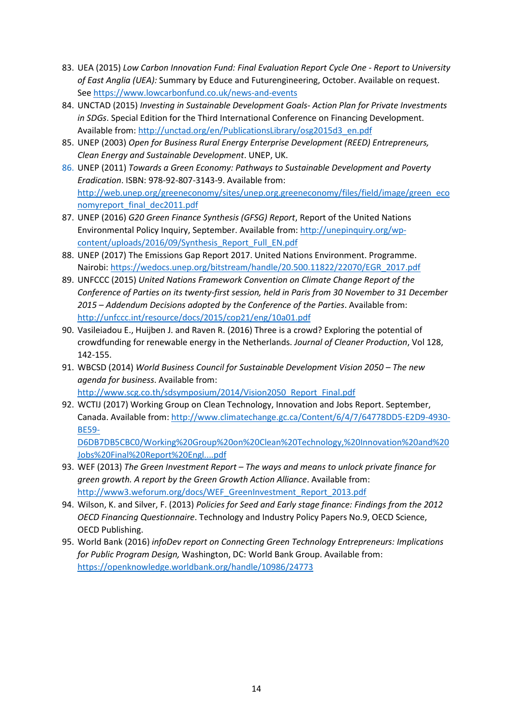- 83. UEA (2015) *Low Carbon Innovation Fund: Final Evaluation Report Cycle One - Report to University of East Anglia (UEA):* Summary by Educe and Futurengineering, October. Available on request. Se[e https://www.lowcarbonfund.co.uk/news-and-events](https://www.lowcarbonfund.co.uk/news-and-events)
- 84. UNCTAD (2015) *Investing in Sustainable Development Goals- Action Plan for Private Investments in SDGs*. Special Edition for the Third International Conference on Financing Development. Available from: [http://unctad.org/en/PublicationsLibrary/osg2015d3\\_en.pdf](http://unctad.org/en/PublicationsLibrary/osg2015d3_en.pdf)
- 85. UNEP (2003) *Open for Business Rural Energy Enterprise Development (REED) Entrepreneurs, Clean Energy and Sustainable Development*. UNEP, UK.
- 86. UNEP (2011) *Towards a Green Economy: Pathways to Sustainable Development and Poverty Eradication*. ISBN: 978-92-807-3143-9. Available from: [http://web.unep.org/greeneconomy/sites/unep.org.greeneconomy/files/field/image/green\\_eco](http://web.unep.org/greeneconomy/sites/unep.org.greeneconomy/files/field/image/green_economyreport_final_dec2011.pdf) [nomyreport\\_final\\_dec2011.pdf](http://web.unep.org/greeneconomy/sites/unep.org.greeneconomy/files/field/image/green_economyreport_final_dec2011.pdf)
- 87. UNEP (2016) *G20 Green Finance Synthesis (GFSG) Report*, Report of the United Nations Environmental Policy Inquiry, September. Available from[: http://unepinquiry.org/wp](http://unepinquiry.org/wp-content/uploads/2016/09/Synthesis_Report_Full_EN.pdf)[content/uploads/2016/09/Synthesis\\_Report\\_Full\\_EN.pdf](http://unepinquiry.org/wp-content/uploads/2016/09/Synthesis_Report_Full_EN.pdf)
- 88. UNEP (2017) The Emissions Gap Report 2017. United Nations Environment. Programme. Nairobi: [https://wedocs.unep.org/bitstream/handle/20.500.11822/22070/EGR\\_2017.pdf](https://wedocs.unep.org/bitstream/handle/20.500.11822/22070/EGR_2017.pdf)
- 89. UNFCCC (2015) *United Nations Framework Convention on Climate Change Report of the Conference of Parties on its twenty-first session, held in Paris from 30 November to 31 December 2015 – Addendum Decisions adopted by the Conference of the Parties*. Available from: <http://unfccc.int/resource/docs/2015/cop21/eng/10a01.pdf>
- 90. Vasileiadou E., Huijben J. and Raven R. (2016) Three is a crowd? Exploring the potential of crowdfunding for renewable energy in the Netherlands. *Journal of Cleaner Production*, Vol 128, 142-155.
- 91. WBCSD (2014) *World Business Council for Sustainable Development Vision 2050 – The new agenda for business*. Available from:
- [http://www.scg.co.th/sdsymposium/2014/Vision2050\\_Report\\_Final.pdf](http://www.scg.co.th/sdsymposium/2014/Vision2050_Report_Final.pdf) 92. WCTIJ (2017) Working Group on Clean Technology, Innovation and Jobs Report. September,
	- Canada. Available from: [http://www.climatechange.gc.ca/Content/6/4/7/64778DD5-E2D9-4930-](http://www.climatechange.gc.ca/Content/6/4/7/64778DD5-E2D9-4930-BE59-D6DB7DB5CBC0/Working%20Group%20on%20Clean%20Technology,%20Innovation%20and%20Jobs%20Final%20Report%20Engl....pdf) [BE59-](http://www.climatechange.gc.ca/Content/6/4/7/64778DD5-E2D9-4930-BE59-D6DB7DB5CBC0/Working%20Group%20on%20Clean%20Technology,%20Innovation%20and%20Jobs%20Final%20Report%20Engl....pdf)

[D6DB7DB5CBC0/Working%20Group%20on%20Clean%20Technology,%20Innovation%20and%20](http://www.climatechange.gc.ca/Content/6/4/7/64778DD5-E2D9-4930-BE59-D6DB7DB5CBC0/Working%20Group%20on%20Clean%20Technology,%20Innovation%20and%20Jobs%20Final%20Report%20Engl....pdf) [Jobs%20Final%20Report%20Engl....pdf](http://www.climatechange.gc.ca/Content/6/4/7/64778DD5-E2D9-4930-BE59-D6DB7DB5CBC0/Working%20Group%20on%20Clean%20Technology,%20Innovation%20and%20Jobs%20Final%20Report%20Engl....pdf)

- 93. WEF (2013) *The Green Investment Report – The ways and means to unlock private finance for green growth. A report by the Green Growth Action Alliance*. Available from: [http://www3.weforum.org/docs/WEF\\_GreenInvestment\\_Report\\_2013.pdf](http://www3.weforum.org/docs/WEF_GreenInvestment_Report_2013.pdf)
- 94. Wilson, K. and Silver, F. (2013) *Policies for Seed and Early stage finance: Findings from the 2012 OECD Financing Questionnaire*. Technology and Industry Policy Papers No.9, OECD Science, OECD Publishing.
- 95. World Bank (2016) *infoDev report on Connecting Green Technology Entrepreneurs: Implications for Public Program Design,* Washington, DC: World Bank Group. Available from: <https://openknowledge.worldbank.org/handle/10986/24773>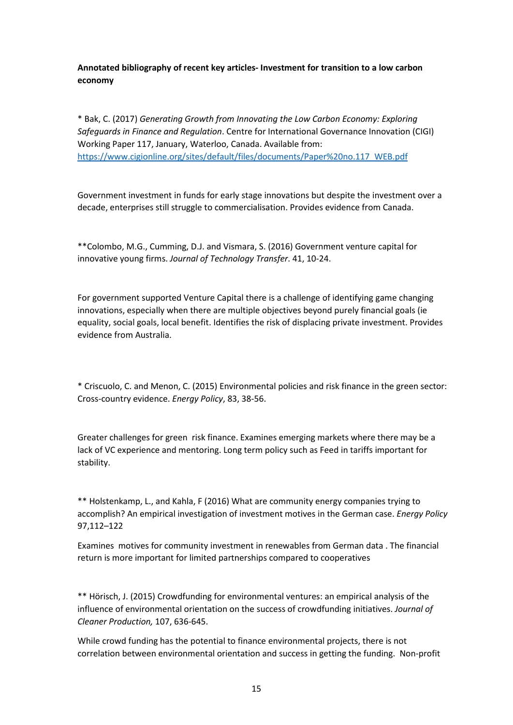**Annotated bibliography of recent key articles- Investment for transition to a low carbon economy**

\* Bak, C. (2017) *Generating Growth from Innovating the Low Carbon Economy: Exploring Safeguards in Finance and Regulation*. Centre for International Governance Innovation (CIGI) Working Paper 117, January, Waterloo, Canada. Available from: [https://www.cigionline.org/sites/default/files/documents/Paper%20no.117\\_WEB.pdf](https://www.cigionline.org/sites/default/files/documents/Paper%20no.117_WEB.pdf)

Government investment in funds for early stage innovations but despite the investment over a decade, enterprises still struggle to commercialisation. Provides evidence from Canada.

\*\*Colombo, M.G., Cumming, D.J. and Vismara, S. (2016) Government venture capital for innovative young firms. *Journal of Technology Transfer*. 41, 10-24.

For government supported Venture Capital there is a challenge of identifying game changing innovations, especially when there are multiple objectives beyond purely financial goals (ie equality, social goals, local benefit. Identifies the risk of displacing private investment. Provides evidence from Australia.

\* Criscuolo, C. and Menon, C. (2015) Environmental policies and risk finance in the green sector: Cross-country evidence. *Energy Policy*, 83, 38-56.

Greater challenges for green risk finance. Examines emerging markets where there may be a lack of VC experience and mentoring. Long term policy such as Feed in tariffs important for stability.

\*\* Holstenkamp, L., and Kahla, F (2016) What are community energy companies trying to accomplish? An empirical investigation of investment motives in the German case. *Energy Policy* 97,112–122

Examines motives for community investment in renewables from German data . The financial return is more important for limited partnerships compared to cooperatives

\*\* Hörisch, J. (2015) Crowdfunding for environmental ventures: an empirical analysis of the influence of environmental orientation on the success of crowdfunding initiatives. *Journal of Cleaner Production,* 107, 636-645.

While crowd funding has the potential to finance environmental projects, there is not correlation between environmental orientation and success in getting the funding. Non-profit